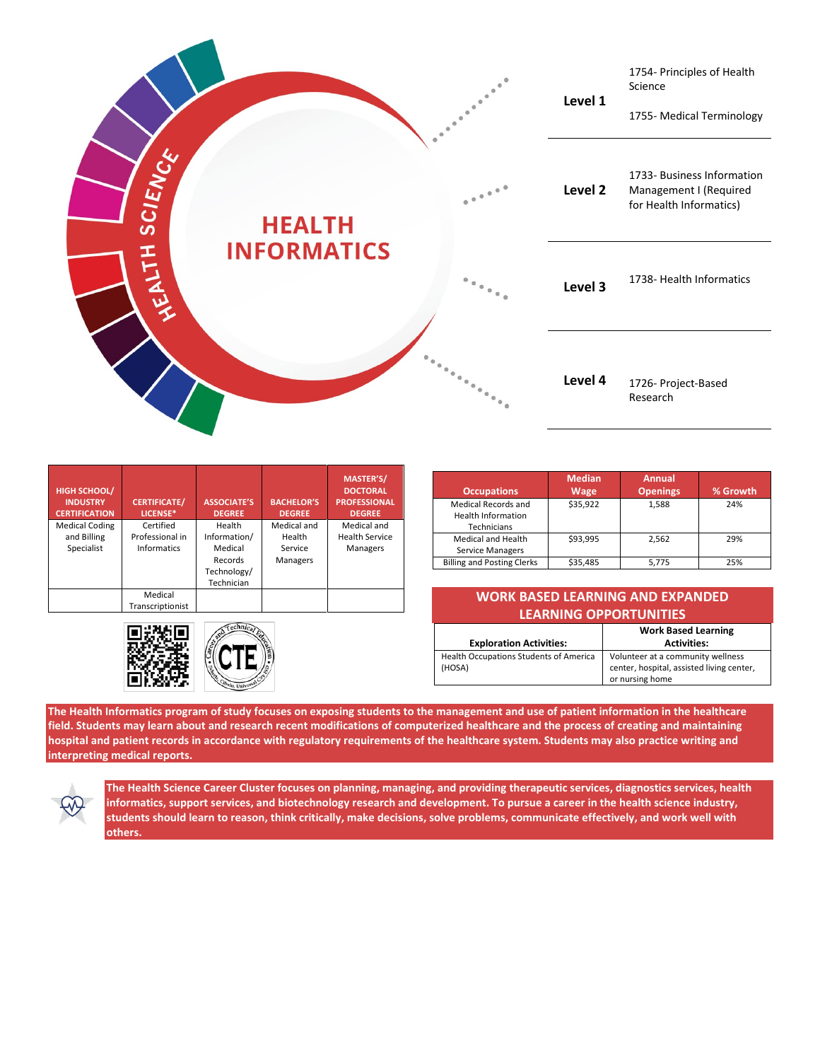

| <b>HIGH SCHOOL/</b><br><b>INDUSTRY</b><br><b>CERTIFICATION</b> | <b>CERTIFICATE/</b><br>LICENSE*                    | <b>ASSOCIATE'S</b><br><b>DEGREE</b>                                       | <b>BACHELOR'S</b><br><b>DEGREE</b>           | MASTER'S/<br><b>DOCTORAL</b><br><b>PROFESSIONAL</b><br><b>DEGREE</b> |
|----------------------------------------------------------------|----------------------------------------------------|---------------------------------------------------------------------------|----------------------------------------------|----------------------------------------------------------------------|
| <b>Medical Coding</b><br>and Billing<br>Specialist             | Certified<br>Professional in<br><b>Informatics</b> | Health<br>Information/<br>Medical<br>Records<br>Technology/<br>Technician | Medical and<br>Health<br>Service<br>Managers | Medical and<br><b>Health Service</b><br>Managers                     |
|                                                                | Medical<br>Transcriptionist                        |                                                                           |                                              |                                                                      |



| <b>Occupations</b>                                              | <b>Median</b><br>Wage | <b>Annual</b><br><b>Openings</b> | % Growth |
|-----------------------------------------------------------------|-----------------------|----------------------------------|----------|
| Medical Records and<br><b>Health Information</b><br>Technicians | \$35,922              | 1,588                            | 24%      |
| Medical and Health<br><b>Service Managers</b>                   | \$93,995              | 2,562                            | 29%      |
| <b>Billing and Posting Clerks</b>                               | \$35,485              | 5.775                            | 25%      |

## **WORK BASED LEARNING AND EXPANDED LEARNING OPPORTUNITIES**

| <b>Exploration Activities:</b>                   | <b>Work Based Learning</b><br><b>Activities:</b>                                                  |  |
|--------------------------------------------------|---------------------------------------------------------------------------------------------------|--|
| Health Occupations Students of America<br>(HOSA) | Volunteer at a community wellness<br>center, hospital, assisted living center,<br>or nursing home |  |

**The Health Informatics program of study focuses on exposing students to the management and use of patient information in the healthcare field. Students may learn about and research recent modifications of computerized healthcare and the process of creating and maintaining hospital and patient records in accordance with regulatory requirements of the healthcare system. Students may also practice writing and interpreting medical reports.**



**The Health Science Career Cluster focuses on planning, managing, and providing therapeutic services, diagnostics services, health informatics, support services, and biotechnology research and development. To pursue a career in the health science industry, students should learn to reason, think critically, make decisions, solve problems, communicate effectively, and work well with others.**